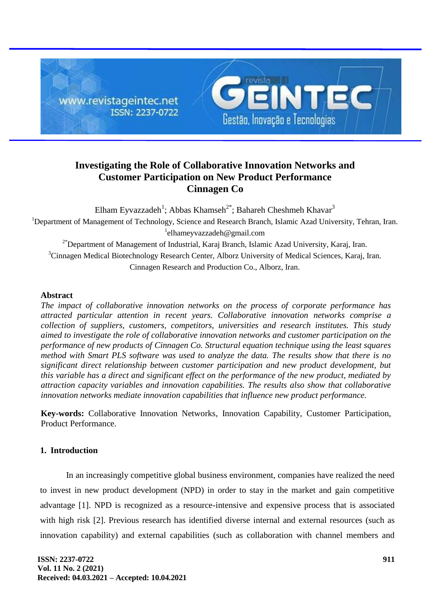

# **Investigating the Role of Collaborative Innovation Networks and Customer Participation on New Product Performance Cinnagen Co**

Elham Eyvazzadeh<sup>1</sup>; Abbas Khamseh<sup>2\*</sup>; Bahareh Cheshmeh Khavar<sup>3</sup> <sup>1</sup>Department of Management of Technology, Science and Research Branch, Islamic Azad University, Tehran, Iran. 1 elhameyvazzadeh@gmail.com <sup>2\*</sup>Department of Management of Industrial, Karaj Branch, Islamic Azad University, Karaj, Iran. <sup>3</sup>Cinnagen Medical Biotechnology Research Center, Alborz University of Medical Sciences, Karaj, Iran. Cinnagen Research and Production Co., Alborz, Iran.

## **Abstract**

*The impact of collaborative innovation networks on the process of corporate performance has attracted particular attention in recent years. Collaborative innovation networks comprise a collection of suppliers, customers, competitors, universities and research institutes. This study aimed to investigate the role of collaborative innovation networks and customer participation on the performance of new products of Cinnagen Co. Structural equation technique using the least squares method with Smart PLS software was used to analyze the data. The results show that there is no significant direct relationship between customer participation and new product development, but this variable has a direct and significant effect on the performance of the new product, mediated by attraction capacity variables and innovation capabilities. The results also show that collaborative innovation networks mediate innovation capabilities that influence new product performance.*

**Key-words:** Collaborative Innovation Networks, Innovation Capability, Customer Participation, Product Performance.

# **1. Introduction**

In an increasingly competitive global business environment, companies have realized the need to invest in new product development (NPD) in order to stay in the market and gain competitive advantage [1]. NPD is recognized as a resource-intensive and expensive process that is associated with high risk [2]. Previous research has identified diverse internal and external resources (such as innovation capability) and external capabilities (such as collaboration with channel members and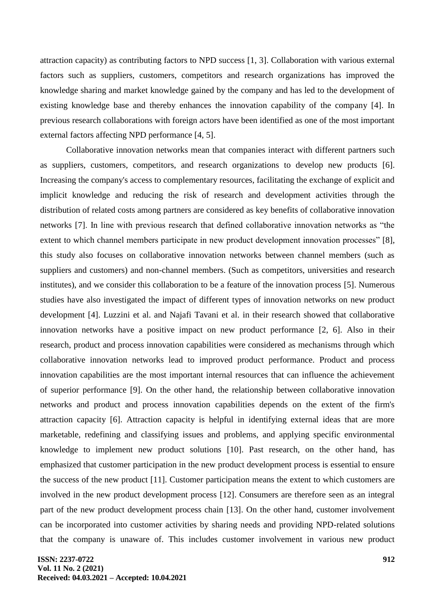attraction capacity) as contributing factors to NPD success [1, 3]. Collaboration with various external factors such as suppliers, customers, competitors and research organizations has improved the knowledge sharing and market knowledge gained by the company and has led to the development of existing knowledge base and thereby enhances the innovation capability of the company [4]. In previous research collaborations with foreign actors have been identified as one of the most important external factors affecting NPD performance [4, 5].

Collaborative innovation networks mean that companies interact with different partners such as suppliers, customers, competitors, and research organizations to develop new products [6]. Increasing the company's access to complementary resources, facilitating the exchange of explicit and implicit knowledge and reducing the risk of research and development activities through the distribution of related costs among partners are considered as key benefits of collaborative innovation networks [7]. In line with previous research that defined collaborative innovation networks as "the extent to which channel members participate in new product development innovation processes" [8], this study also focuses on collaborative innovation networks between channel members (such as suppliers and customers) and non-channel members. (Such as competitors, universities and research institutes), and we consider this collaboration to be a feature of the innovation process [5]. Numerous studies have also investigated the impact of different types of innovation networks on new product development [4]. Luzzini et al. and Najafi Tavani et al. in their research showed that collaborative innovation networks have a positive impact on new product performance [2, 6]. Also in their research, product and process innovation capabilities were considered as mechanisms through which collaborative innovation networks lead to improved product performance. Product and process innovation capabilities are the most important internal resources that can influence the achievement of superior performance [9]. On the other hand, the relationship between collaborative innovation networks and product and process innovation capabilities depends on the extent of the firm's attraction capacity [6]. Attraction capacity is helpful in identifying external ideas that are more marketable, redefining and classifying issues and problems, and applying specific environmental knowledge to implement new product solutions [10]. Past research, on the other hand, has emphasized that customer participation in the new product development process is essential to ensure the success of the new product [11]. Customer participation means the extent to which customers are involved in the new product development process [12]. Consumers are therefore seen as an integral part of the new product development process chain [13]. On the other hand, customer involvement can be incorporated into customer activities by sharing needs and providing NPD-related solutions that the company is unaware of. This includes customer involvement in various new product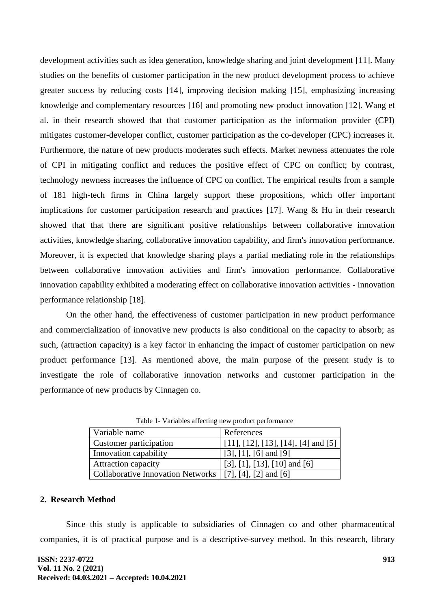development activities such as idea generation, knowledge sharing and joint development [11]. Many studies on the benefits of customer participation in the new product development process to achieve greater success by reducing costs [14], improving decision making [15], emphasizing increasing knowledge and complementary resources [16] and promoting new product innovation [12]. Wang et al. in their research showed that that customer participation as the information provider (CPI) mitigates customer-developer conflict, customer participation as the co-developer (CPC) increases it. Furthermore, the nature of new products moderates such effects. Market newness attenuates the role of CPI in mitigating conflict and reduces the positive effect of CPC on conflict; by contrast, technology newness increases the influence of CPC on conflict. The empirical results from a sample of 181 high-tech firms in China largely support these propositions, which offer important implications for customer participation research and practices [17]. Wang & Hu in their research showed that that there are significant positive relationships between collaborative innovation activities, knowledge sharing, collaborative innovation capability, and firm's innovation performance. Moreover, it is expected that knowledge sharing plays a partial mediating role in the relationships between collaborative innovation activities and firm's innovation performance. Collaborative innovation capability exhibited a moderating effect on collaborative innovation activities - innovation performance relationship [18].

On the other hand, the effectiveness of customer participation in new product performance and commercialization of innovative new products is also conditional on the capacity to absorb; as such, (attraction capacity) is a key factor in enhancing the impact of customer participation on new product performance [13]. As mentioned above, the main purpose of the present study is to investigate the role of collaborative innovation networks and customer participation in the performance of new products by Cinnagen co.

| Variable name                                             | References                          |
|-----------------------------------------------------------|-------------------------------------|
| Customer participation                                    | [11], [12], [13], [14], [4] and [5] |
| Innovation capability                                     | $[3]$ , $[1]$ , $[6]$ and $[9]$     |
| <b>Attraction capacity</b>                                | [3], [1], [13], [10] and [6]        |
| Collaborative Innovation Networks   [7], [4], [2] and [6] |                                     |

Table 1- Variables affecting new product performance

#### **2. Research Method**

Since this study is applicable to subsidiaries of Cinnagen co and other pharmaceutical companies, it is of practical purpose and is a descriptive-survey method. In this research, library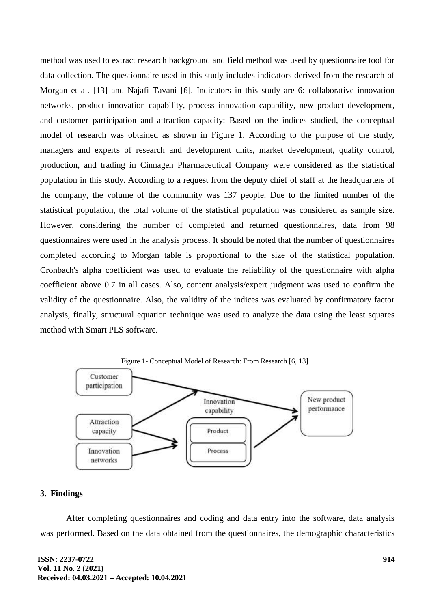method was used to extract research background and field method was used by questionnaire tool for data collection. The questionnaire used in this study includes indicators derived from the research of Morgan et al. [13] and Najafi Tavani [6]. Indicators in this study are 6: collaborative innovation networks, product innovation capability, process innovation capability, new product development, and customer participation and attraction capacity: Based on the indices studied, the conceptual model of research was obtained as shown in Figure 1. According to the purpose of the study, managers and experts of research and development units, market development, quality control, production, and trading in Cinnagen Pharmaceutical Company were considered as the statistical population in this study. According to a request from the deputy chief of staff at the headquarters of the company, the volume of the community was 137 people. Due to the limited number of the statistical population, the total volume of the statistical population was considered as sample size. However, considering the number of completed and returned questionnaires, data from 98 questionnaires were used in the analysis process. It should be noted that the number of questionnaires completed according to Morgan table is proportional to the size of the statistical population. Cronbach's alpha coefficient was used to evaluate the reliability of the questionnaire with alpha coefficient above 0.7 in all cases. Also, content analysis/expert judgment was used to confirm the validity of the questionnaire. Also, the validity of the indices was evaluated by confirmatory factor analysis, finally, structural equation technique was used to analyze the data using the least squares method with Smart PLS software.



# **3. Findings**

After completing questionnaires and coding and data entry into the software, data analysis was performed. Based on the data obtained from the questionnaires, the demographic characteristics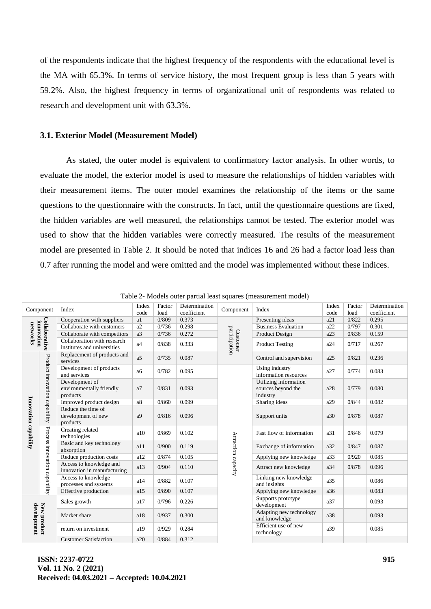of the respondents indicate that the highest frequency of the respondents with the educational level is the MA with 65.3%. In terms of service history, the most frequent group is less than 5 years with 59.2%. Also, the highest frequency in terms of organizational unit of respondents was related to research and development unit with 63.3%.

#### **3.1. Exterior Model (Measurement Model)**

As stated, the outer model is equivalent to confirmatory factor analysis. In other words, to evaluate the model, the exterior model is used to measure the relationships of hidden variables with their measurement items. The outer model examines the relationship of the items or the same questions to the questionnaire with the constructs. In fact, until the questionnaire questions are fixed, the hidden variables are well measured, the relationships cannot be tested. The exterior model was used to show that the hidden variables were correctly measured. The results of the measurement model are presented in Table 2. It should be noted that indices 16 and 26 had a factor load less than 0.7 after running the model and were omitted and the model was implemented without these indices.

| Component                               |                               | Index                                                      | Index<br>code  | Factor<br>load | Determination<br>coefficient | Component                 | Index                                                   | Index<br>code | Factor<br>load | Determination<br>coefficient |
|-----------------------------------------|-------------------------------|------------------------------------------------------------|----------------|----------------|------------------------------|---------------------------|---------------------------------------------------------|---------------|----------------|------------------------------|
|                                         |                               | Cooperation with suppliers                                 | a1             | 0/809          | 0.373                        |                           | Presenting ideas                                        | a21           | 0/822          | 0.295                        |
| Collaborative<br>innovation<br>networks |                               | Collaborate with customers                                 | a2             | 0/736          | 0.298                        |                           | <b>Business Evaluation</b>                              | a22           | 0/797          | 0.301                        |
|                                         |                               | Collaborate with competitors                               | a3             | 0/736          | 0.272                        |                           | Product Design                                          | a23           | 0/836          | 0.159                        |
|                                         |                               | Collaboration with research<br>institutes and universities | a <sub>4</sub> | 0/838          | 0.333                        | participation<br>Customer | <b>Product Testing</b>                                  | a24           | 0/717          | 0.267                        |
|                                         |                               | Replacement of products and<br>services                    | a <sub>5</sub> | 0/735          | 0.087                        |                           | Control and supervision                                 | a25           | 0/821          | 0.236                        |
|                                         |                               | Development of products<br>and services                    | a <sub>6</sub> | 0/782          | 0.095                        |                           | Using industry<br>information resources                 | a27           | 0/774          | 0.083                        |
|                                         | Product innovation capability | Development of<br>environmentally friendly<br>products     | a7             | 0/831          | 0.093                        |                           | Utilizing information<br>sources beyond the<br>industry | a28           | 0/779          | 0.080                        |
|                                         |                               | Improved product design                                    | a8             | 0/860          | 0.099                        |                           | Sharing ideas                                           | a29           | 0/844          | 0.082                        |
| Innovation capability                   |                               | Reduce the time of<br>development of new<br>products       | a <sub>9</sub> | 0/816          | 0.096                        | Attraction capacity       | Support units                                           | a30           | 0/878          | 0.087                        |
|                                         | Process innovation capability | Creating related<br>technologies                           | a10            | 0/869          | 0.102                        |                           | Fast flow of information                                | a31           | 0/846          | 0.079                        |
|                                         |                               | Basic and key technology<br>absorption                     | a11            | 0/900          | 0.119                        |                           | Exchange of information                                 | a32           | 0/847          | 0.087                        |
|                                         |                               | Reduce production costs                                    | a12            | 0/874          | 0.105                        |                           | Applying new knowledge                                  | a33           | 0/920          | 0.085                        |
|                                         |                               | Access to knowledge and<br>innovation in manufacturing     | a13            | 0/904          | 0.110                        |                           | Attract new knowledge                                   | a34           | 0/878          | 0.096                        |
|                                         |                               | Access to knowledge<br>processes and systems               | a14            | 0/882          | 0.107                        |                           | Linking new knowledge<br>and insights                   | a35           |                | 0.086                        |
|                                         |                               | Effective production                                       | a15            | 0/890          | 0.107                        |                           | Applying new knowledge                                  | a36           |                | 0.083                        |
|                                         |                               | Sales growth                                               | a17            | 0/796          | 0.226                        |                           | Supports prototype<br>development                       | a37           |                | 0.093                        |
| New product<br>development              |                               | Market share                                               | a18            | 0/937          | 0.300                        |                           | Adapting new technology<br>and knowledge                | a38           |                | 0.093                        |
|                                         |                               | return on investment                                       | a19            | 0/929          | 0.284                        |                           | Efficient use of new<br>technology                      | a39           |                | 0.085                        |
|                                         |                               | <b>Customer Satisfaction</b>                               | a20            | 0/884          | 0.312                        |                           |                                                         |               |                |                              |

Table 2- Models outer partial least squares (measurement model)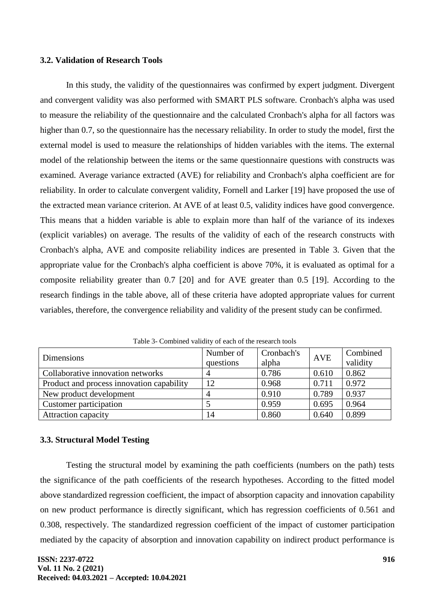### **3.2. Validation of Research Tools**

In this study, the validity of the questionnaires was confirmed by expert judgment. Divergent and convergent validity was also performed with SMART PLS software. Cronbach's alpha was used to measure the reliability of the questionnaire and the calculated Cronbach's alpha for all factors was higher than 0.7, so the questionnaire has the necessary reliability. In order to study the model, first the external model is used to measure the relationships of hidden variables with the items. The external model of the relationship between the items or the same questionnaire questions with constructs was examined. Average variance extracted (AVE) for reliability and Cronbach's alpha coefficient are for reliability. In order to calculate convergent validity, Fornell and Larker [19] have proposed the use of the extracted mean variance criterion. At AVE of at least 0.5, validity indices have good convergence. This means that a hidden variable is able to explain more than half of the variance of its indexes (explicit variables) on average. The results of the validity of each of the research constructs with Cronbach's alpha, AVE and composite reliability indices are presented in Table 3. Given that the appropriate value for the Cronbach's alpha coefficient is above 70%, it is evaluated as optimal for a composite reliability greater than 0.7 [20] and for AVE greater than 0.5 [19]. According to the research findings in the table above, all of these criteria have adopted appropriate values for current variables, therefore, the convergence reliability and validity of the present study can be confirmed.

| Dimensions                                | Number of<br>questions | Cronbach's<br>alpha | <b>AVE</b> | Combined<br>validity |
|-------------------------------------------|------------------------|---------------------|------------|----------------------|
| Collaborative innovation networks         |                        | 0.786               | 0.610      | 0.862                |
| Product and process innovation capability | 12                     | 0.968               | 0.711      | 0.972                |
| New product development                   |                        | 0.910               | 0.789      | 0.937                |
| Customer participation                    |                        | 0.959               | 0.695      | 0.964                |
| <b>Attraction capacity</b>                | 14                     | 0.860               | 0.640      | 0.899                |

Table 3- Combined validity of each of the research tools

# **3.3. Structural Model Testing**

Testing the structural model by examining the path coefficients (numbers on the path) tests the significance of the path coefficients of the research hypotheses. According to the fitted model above standardized regression coefficient, the impact of absorption capacity and innovation capability on new product performance is directly significant, which has regression coefficients of 0.561 and 0.308, respectively. The standardized regression coefficient of the impact of customer participation mediated by the capacity of absorption and innovation capability on indirect product performance is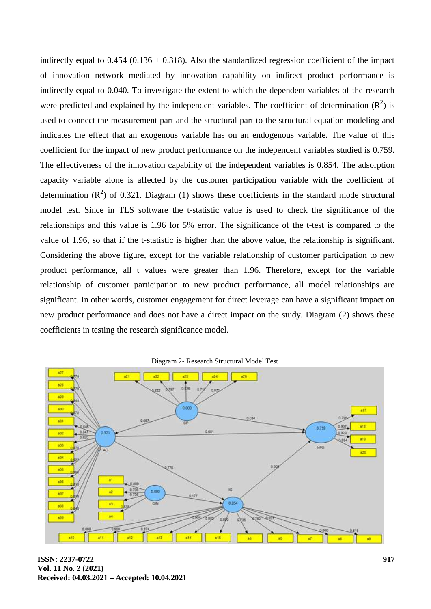indirectly equal to  $0.454$  ( $0.136 + 0.318$ ). Also the standardized regression coefficient of the impact of innovation network mediated by innovation capability on indirect product performance is indirectly equal to 0.040. To investigate the extent to which the dependent variables of the research were predicted and explained by the independent variables. The coefficient of determination  $(R^2)$  is used to connect the measurement part and the structural part to the structural equation modeling and indicates the effect that an exogenous variable has on an endogenous variable. The value of this coefficient for the impact of new product performance on the independent variables studied is 0.759. The effectiveness of the innovation capability of the independent variables is 0.854. The adsorption capacity variable alone is affected by the customer participation variable with the coefficient of determination  $(R^2)$  of 0.321. Diagram (1) shows these coefficients in the standard mode structural model test. Since in TLS software the t-statistic value is used to check the significance of the relationships and this value is 1.96 for 5% error. The significance of the t-test is compared to the value of 1.96, so that if the t-statistic is higher than the above value, the relationship is significant. Considering the above figure, except for the variable relationship of customer participation to new product performance, all t values were greater than 1.96. Therefore, except for the variable relationship of customer participation to new product performance, all model relationships are significant. In other words, customer engagement for direct leverage can have a significant impact on new product performance and does not have a direct impact on the study. Diagram (2) shows these coefficients in testing the research significance model.



Diagram 2- Research Structural Model Test

**ISSN: 2237-0722 Vol. 11 No. 2 (2021) Received: 04.03.2021 – Accepted: 10.04.2021**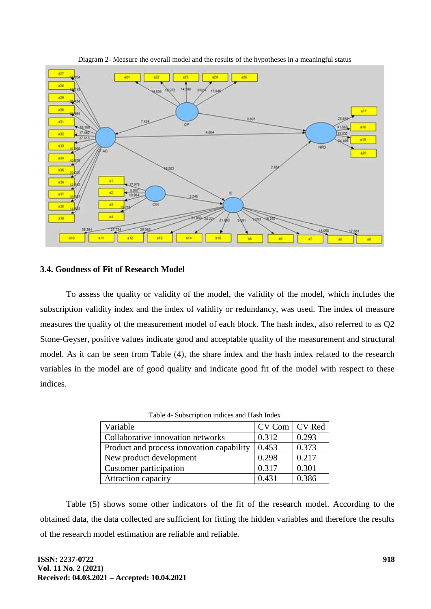

Diagram 2- Measure the overall model and the results of the hypotheses in a meaningful status

### **3.4. Goodness of Fit of Research Model**

To assess the quality or validity of the model, the validity of the model, which includes the subscription validity index and the index of validity or redundancy, was used. The index of measure measures the quality of the measurement model of each block. The hash index, also referred to as Q2 Stone-Geyser, positive values indicate good and acceptable quality of the measurement and structural model. As it can be seen from Table (4), the share index and the hash index related to the research variables in the model are of good quality and indicate good fit of the model with respect to these indices.

| Twore a pappariphon more of any right movie |                 |       |  |  |  |
|---------------------------------------------|-----------------|-------|--|--|--|
| Variable                                    | CV Com   CV Red |       |  |  |  |
| Collaborative innovation networks           | 0.312           | 0.293 |  |  |  |
| Product and process innovation capability   | 0.453           | 0.373 |  |  |  |
| New product development                     | 0.298           | 0.217 |  |  |  |
| Customer participation                      | 0.317           | 0.301 |  |  |  |
| <b>Attraction capacity</b>                  | 0.431           | 0.386 |  |  |  |

Table 4- Subscription indices and Hash Index

Table (5) shows some other indicators of the fit of the research model. According to the obtained data, the data collected are sufficient for fitting the hidden variables and therefore the results of the research model estimation are reliable and reliable.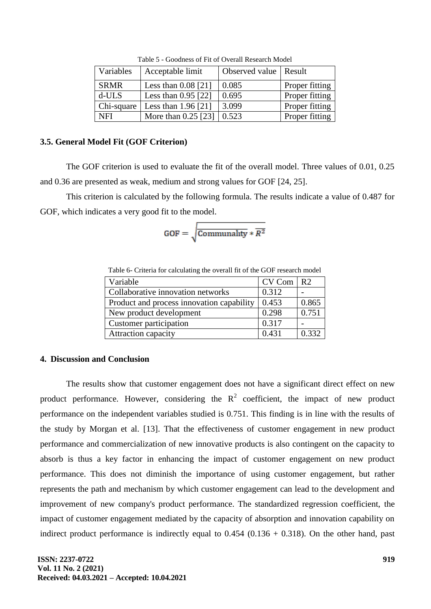| Variables   | Acceptable limit      | Observed value   Result |                |
|-------------|-----------------------|-------------------------|----------------|
| <b>SRMR</b> | Less than $0.08$ [21] | 0.085                   | Proper fitting |
| d-ULS       | Less than $0.95$ [22] | 0.695                   | Proper fitting |
| Chi-square  | Less than $1.96$ [21] | 3.099                   | Proper fitting |
| <b>NFI</b>  | More than $0.25$ [23] | 0.523                   | Proper fitting |

Table 5 - Goodness of Fit of Overall Research Model

## **3.5. General Model Fit (GOF Criterion)**

The GOF criterion is used to evaluate the fit of the overall model. Three values of 0.01, 0.25 and 0.36 are presented as weak, medium and strong values for GOF [24, 25].

This criterion is calculated by the following formula. The results indicate a value of 0.487 for GOF, which indicates a very good fit to the model.

$$
GOF = \sqrt{\frac{\text{Communality}}{k^2}}
$$

Table 6- Criteria for calculating the overall fit of the GOF research model

| Variable                                  | CV Com R2 |       |
|-------------------------------------------|-----------|-------|
| Collaborative innovation networks         | 0.312     |       |
| Product and process innovation capability | 0.453     | 0.865 |
| New product development                   | 0.298     | 0.751 |
| Customer participation                    | 0.317     |       |
| Attraction capacity                       | 0.431     | 0.332 |

## **4. Discussion and Conclusion**

The results show that customer engagement does not have a significant direct effect on new product performance. However, considering the  $R^2$  coefficient, the impact of new product performance on the independent variables studied is 0.751. This finding is in line with the results of the study by Morgan et al. [13]. That the effectiveness of customer engagement in new product performance and commercialization of new innovative products is also contingent on the capacity to absorb is thus a key factor in enhancing the impact of customer engagement on new product performance. This does not diminish the importance of using customer engagement, but rather represents the path and mechanism by which customer engagement can lead to the development and improvement of new company's product performance. The standardized regression coefficient, the impact of customer engagement mediated by the capacity of absorption and innovation capability on indirect product performance is indirectly equal to  $0.454$  ( $0.136 + 0.318$ ). On the other hand, past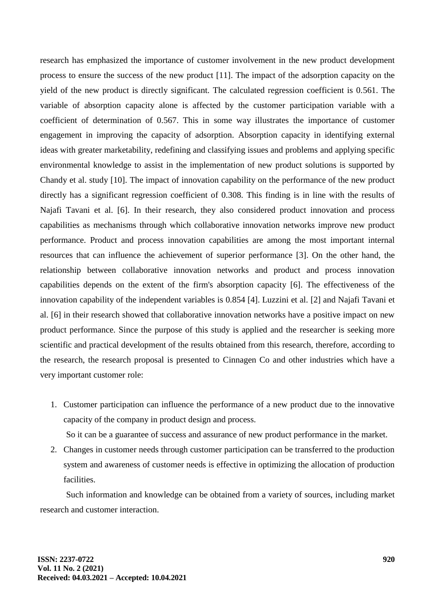research has emphasized the importance of customer involvement in the new product development process to ensure the success of the new product [11]. The impact of the adsorption capacity on the yield of the new product is directly significant. The calculated regression coefficient is 0.561. The variable of absorption capacity alone is affected by the customer participation variable with a coefficient of determination of 0.567. This in some way illustrates the importance of customer engagement in improving the capacity of adsorption. Absorption capacity in identifying external ideas with greater marketability, redefining and classifying issues and problems and applying specific environmental knowledge to assist in the implementation of new product solutions is supported by Chandy et al. study [10]. The impact of innovation capability on the performance of the new product directly has a significant regression coefficient of 0.308. This finding is in line with the results of Najafi Tavani et al. [6]. In their research, they also considered product innovation and process capabilities as mechanisms through which collaborative innovation networks improve new product performance. Product and process innovation capabilities are among the most important internal resources that can influence the achievement of superior performance [3]. On the other hand, the relationship between collaborative innovation networks and product and process innovation capabilities depends on the extent of the firm's absorption capacity [6]. The effectiveness of the innovation capability of the independent variables is 0.854 [4]. Luzzini et al. [2] and Najafi Tavani et al. [6] in their research showed that collaborative innovation networks have a positive impact on new product performance. Since the purpose of this study is applied and the researcher is seeking more scientific and practical development of the results obtained from this research, therefore, according to the research, the research proposal is presented to Cinnagen Co and other industries which have a very important customer role:

1. Customer participation can influence the performance of a new product due to the innovative capacity of the company in product design and process.

So it can be a guarantee of success and assurance of new product performance in the market.

2. Changes in customer needs through customer participation can be transferred to the production system and awareness of customer needs is effective in optimizing the allocation of production facilities.

Such information and knowledge can be obtained from a variety of sources, including market research and customer interaction.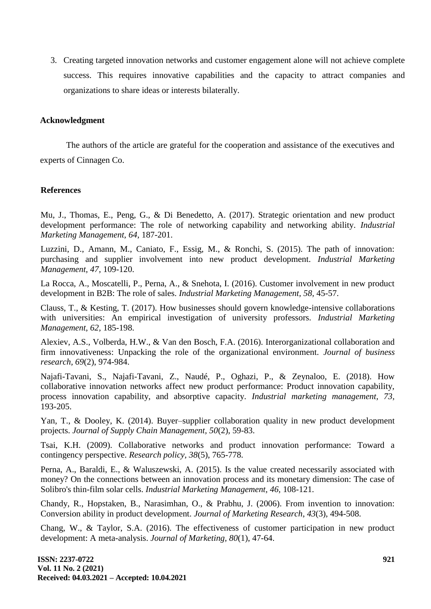3. Creating targeted innovation networks and customer engagement alone will not achieve complete success. This requires innovative capabilities and the capacity to attract companies and organizations to share ideas or interests bilaterally.

#### **Acknowledgment**

The authors of the article are grateful for the cooperation and assistance of the executives and experts of Cinnagen Co.

# **References**

Mu, J., Thomas, E., Peng, G., & Di Benedetto, A. (2017). Strategic orientation and new product development performance: The role of networking capability and networking ability. *Industrial Marketing Management, 64,* 187-201.

Luzzini, D., Amann, M., Caniato, F., Essig, M., & Ronchi, S. (2015). The path of innovation: purchasing and supplier involvement into new product development. *Industrial Marketing Management, 47,* 109-120.

La Rocca, A., Moscatelli, P., Perna, A., & Snehota, I. (2016). Customer involvement in new product development in B2B: The role of sales. *Industrial Marketing Management, 58,* 45-57.

Clauss, T., & Kesting, T. (2017). How businesses should govern knowledge-intensive collaborations with universities: An empirical investigation of university professors. *Industrial Marketing Management, 62,* 185-198.

Alexiev, A.S., Volberda, H.W., & Van den Bosch, F.A. (2016). Interorganizational collaboration and firm innovativeness: Unpacking the role of the organizational environment. *Journal of business research, 69*(2), 974-984.

Najafi-Tavani, S., Najafi-Tavani, Z., Naudé, P., Oghazi, P., & Zeynaloo, E. (2018). How collaborative innovation networks affect new product performance: Product innovation capability, process innovation capability, and absorptive capacity. *Industrial marketing management, 73,* 193-205.

Yan, T., & Dooley, K. (2014). Buyer–supplier collaboration quality in new product development projects. *Journal of Supply Chain Management, 50*(2), 59-83.

Tsai, K.H. (2009). Collaborative networks and product innovation performance: Toward a contingency perspective. *Research policy, 38*(5), 765-778.

Perna, A., Baraldi, E., & Waluszewski, A. (2015). Is the value created necessarily associated with money? On the connections between an innovation process and its monetary dimension: The case of Solibro's thin-film solar cells. *Industrial Marketing Management, 46,* 108-121.

Chandy, R., Hopstaken, B., Narasimhan, O., & Prabhu, J. (2006). From invention to innovation: Conversion ability in product development. *Journal of Marketing Research*, *43*(3), 494-508.

Chang, W., & Taylor, S.A. (2016). The effectiveness of customer participation in new product development: A meta-analysis. *Journal of Marketing, 80*(1), 47-64.